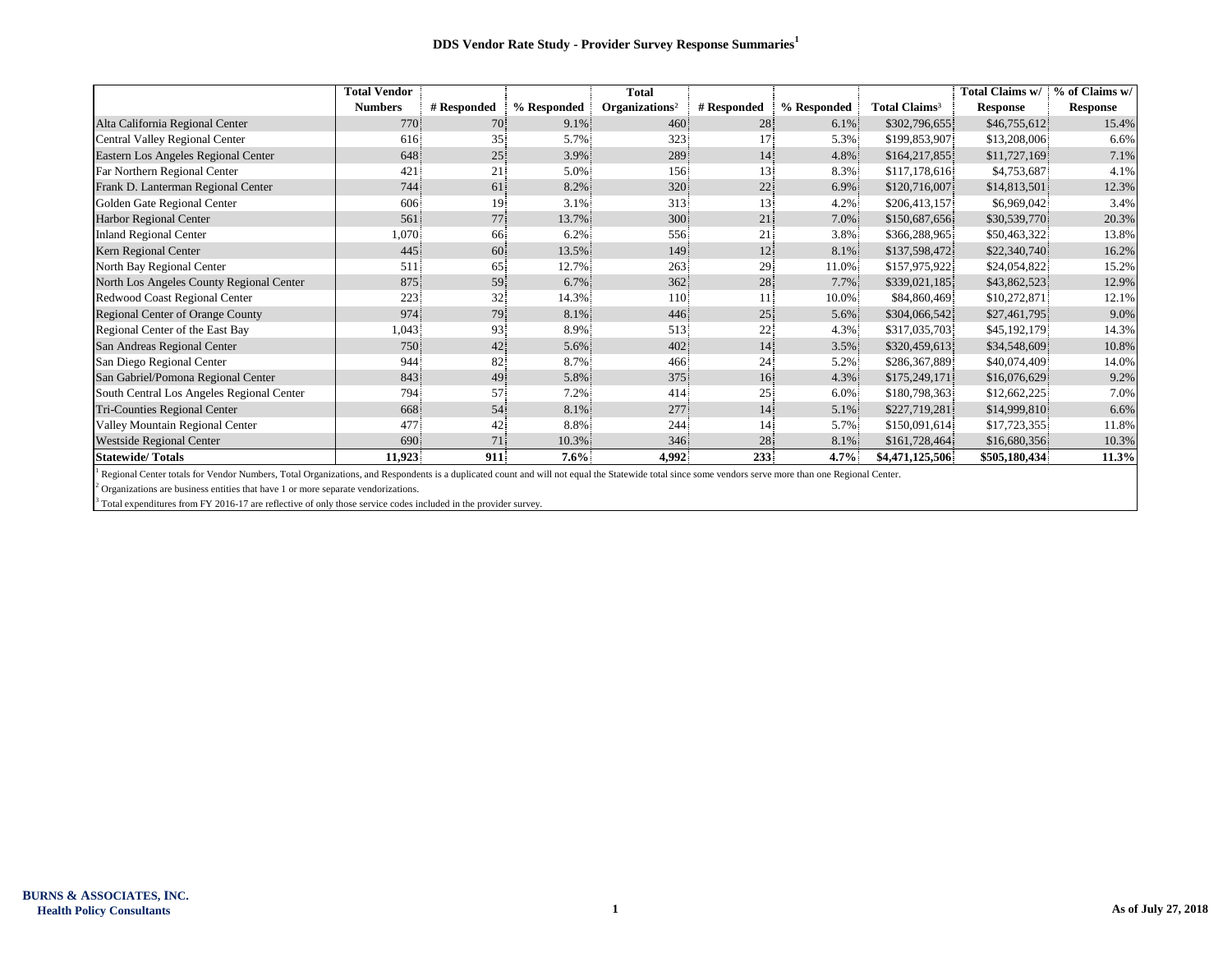|                                           | <b>Total Vendor</b> |             |             | <b>Total</b>               |                 |             |                           | Total Claims w/ | % of Claims w/  |
|-------------------------------------------|---------------------|-------------|-------------|----------------------------|-----------------|-------------|---------------------------|-----------------|-----------------|
|                                           | <b>Numbers</b>      | # Responded | % Responded | Organizations <sup>2</sup> | # Responded     | % Responded | Total Claims <sup>3</sup> | <b>Response</b> | <b>Response</b> |
| Alta California Regional Center           | 770                 | 70          | $9.1\%$     | 460                        | 28              | $6.1\%$     | \$302,796,655             | \$46,755,612    | 15.4%           |
| Central Valley Regional Center            | 616                 | 35          | 5.7%        | 323                        | 17.             | 5.3%        | \$199,853,907             | \$13,208,006    | 6.6%            |
| Eastern Los Angeles Regional Center       | 648                 | 25          | 3.9%        | 289                        | 14              | 4.8%        | \$164,217,855             | \$11,727,169    | 7.1%            |
| Far Northern Regional Center              | 421                 | 21          | 5.0%        | 156                        | 13              | 8.3%        | \$117,178,616             | \$4,753,687     | 4.1%            |
| Frank D. Lanterman Regional Center        | 744                 | 61          | 8.2%        | 320                        | 22              | 6.9%        | \$120,716,007             | \$14,813,501    | 12.3%           |
| Golden Gate Regional Center               | 606                 | 19          | 3.1%        | 313                        | 13              | 4.2%        | \$206,413,157             | \$6,969,042     | 3.4%            |
| <b>Harbor Regional Center</b>             | 561                 | 77          | 13.7%       | 300                        | 21              | 7.0%        | \$150,687,656             | \$30,539,770    | 20.3%           |
| <b>Inland Regional Center</b>             | 1,070               | 66          | 6.2%        | 556                        | 21              | 3.8%        | \$366,288,965             | \$50,463,322    | 13.8%           |
| Kern Regional Center                      | 445                 | 60          | 13.5%       | 149                        | 12              | 8.1%        | \$137,598,472             | \$22,340,740    | 16.2%           |
| North Bay Regional Center                 | 511                 | 65          | 12.7%       | 263                        | 29 <sup>°</sup> | 11.0%       | \$157,975,922             | \$24,054,822    | 15.2%           |
| North Los Angeles County Regional Center  | 875.                | 59          | 6.7%        | 362                        | 28              | 7.7%        | \$339,021,185             | \$43,862,523    | 12.9%           |
| Redwood Coast Regional Center             | 223                 | 32          | 14.3%       | 110 <sup>°</sup>           | 11 <sup>1</sup> | 10.0%       | \$84,860,469              | \$10,272,871    | 12.1%           |
| Regional Center of Orange County          | 974                 | 79          | 8.1%        | 446                        | 25              | 5.6%        | \$304,066,542             | \$27,461,795    | 9.0%            |
| Regional Center of the East Bay           | 1,043               | 93.         | 8.9%        | 513                        | 22              | 4.3%        | \$317,035,703             | \$45,192,179    | 14.3%           |
| San Andreas Regional Center               | 750                 | 42          | 5.6%        | 402                        | 14              | 3.5%        | \$320,459,613             | \$34,548,609    | 10.8%           |
| San Diego Regional Center                 | 944                 | 82          | 8.7%        | 466                        | 24              | 5.2%        | \$286,367,889             | \$40,074,409    | 14.0%           |
| San Gabriel/Pomona Regional Center        | 843                 | 49          | 5.8%        | 375                        | 16              | 4.3%        | \$175,249,171             | \$16,076,629    | 9.2%            |
| South Central Los Angeles Regional Center | 794                 | 57          | 7.2%        | 414                        | 25 <sup>1</sup> | 6.0%        | \$180,798,363             | \$12,662,225    | 7.0%            |
| Tri-Counties Regional Center              | 668                 | 54          | 8.1%        | 277                        | 14              | 5.1%        | \$227,719,281             | \$14,999,810    | 6.6%            |
| Valley Mountain Regional Center           | 477                 | 42          | 8.8%        | 244                        | 14              | 5.7%        | \$150,091,614             | \$17,723,355    | 11.8%           |
| <b>Westside Regional Center</b>           | 690                 | 71          | 10.3%       | 346                        | 28              | 8.1%        | \$161,728,464             | \$16,680,356    | 10.3%           |
| <b>Statewide/Totals</b>                   | 11,923              | 911         | $7.6\%$     | 4,992                      | 233             | $4.7\%$     | \$4,471,125,506           | \$505,180,434   | 11.3%           |

<sup>1</sup> Regional Center totals for Vendor Numbers, Total Organizations, and Respondents is a duplicated count and will not equal the Statewide total since some vendors serve more than one Regional Center.

 $2$  Organizations are business entities that have 1 or more separate vendorizations.

<sup>3</sup> Total expenditures from FY 2016-17 are reflective of only those service codes included in the provider survey.